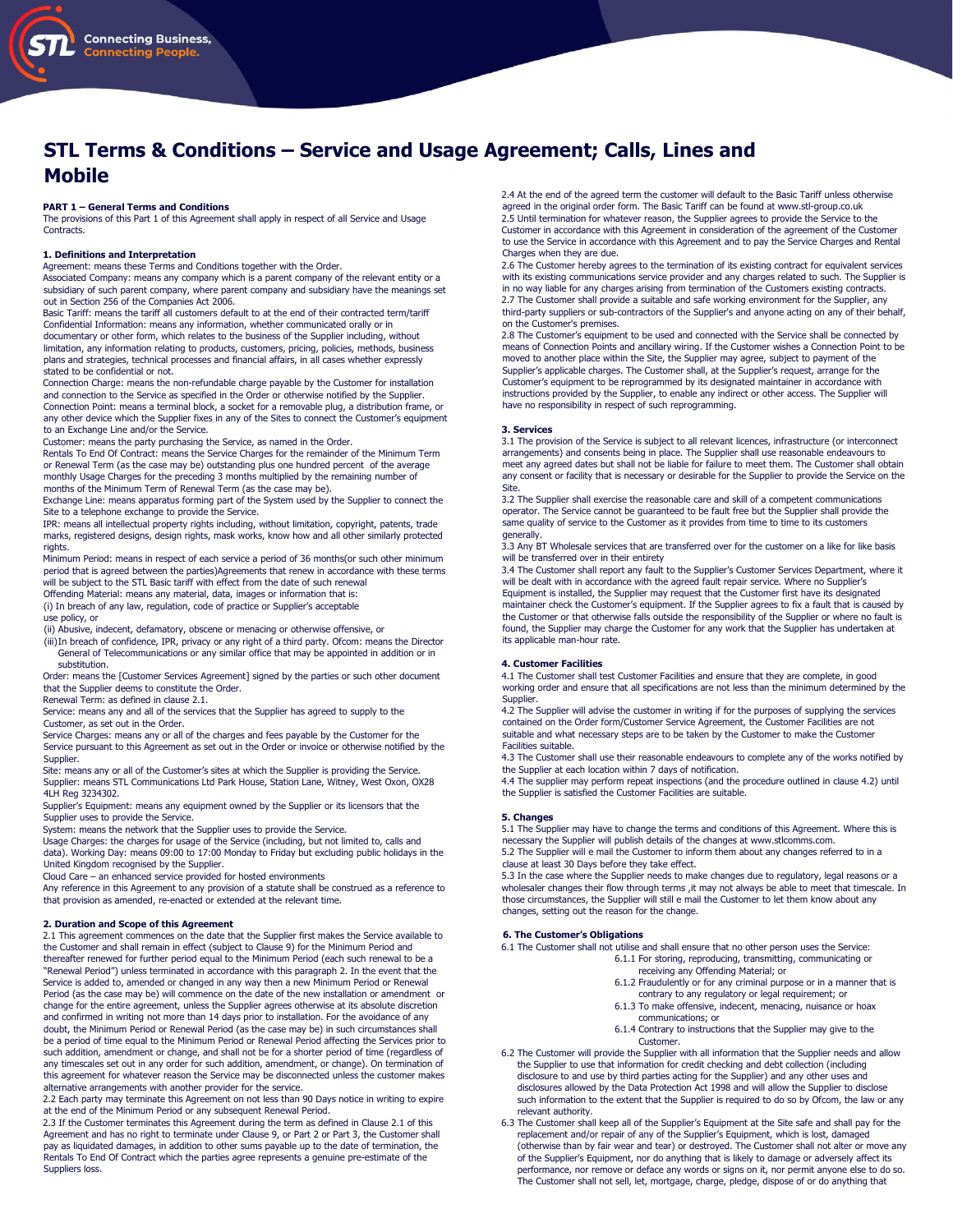

# STL Terms & Conditions – Service and Usage Agreement; Calls, Lines and Mobile

# PART 1 – General Terms and Conditions

The provisions of this Part 1 of this Agreement shall apply in respect of all Service and Usage Contracts.

# 1. Definitions and Interpretation

Agreement: means these Terms and Conditions together with the Order.

Associated Company: means any company which is a parent company of the relevant entity or a subsidiary of such parent company, where parent company and subsidiary have the meanings set out in Section 256 of the Companies Act 2006.

Basic Tariff: means the tariff all customers default to at the end of their contracted term/tariff Confidential Information: means any information, whether communicated orally or in documentary or other form, which relates to the business of the Supplier including, without limitation, any information relating to products, customers, pricing, policies, methods, business plans and strategies, technical processes and financial affairs, in all cases whether expressly stated to be confidential or not.

Connection Charge: means the non-refundable charge payable by the Customer for installation and connection to the Service as specified in the Order or otherwise notified by the Supplier. Connection Point: means a terminal block, a socket for a removable plug, a distribution frame, or

any other device which the Supplier fixes in any of the Sites to connect the Customer's equipment to an Exchange Line and/or the Service.

Customer: means the party purchasing the Service, as named in the Order.

Rentals To End Of Contract: means the Service Charges for the remainder of the Minimum Term or Renewal Term (as the case may be) outstanding plus one hundred percent of the average monthly Usage Charges for the preceding 3 months multiplied by the remaining number of months of the Minimum Term of Renewal Term (as the case may be).

Exchange Line: means apparatus forming part of the System used by the Supplier to connect the Site to a telephone exchange to provide the Service.

IPR: means all intellectual property rights including, without limitation, copyright, patents, trade marks, registered designs, design rights, mask works, know how and all other similarly protected rights.

Minimum Period: means in respect of each service a period of 36 months(or such other minimum period that is agreed between the parties)Agreements that renew in accordance with these terms will be subject to the STL Basic tariff with effect from the date of such renewal

Offending Material: means any material, data, images or information that is: (i) In breach of any law, regulation, code of practice or Supplier's acceptable

use policy, or

(ii) Abusive, indecent, defamatory, obscene or menacing or otherwise offensive, or

(iii)In breach of confidence, IPR, privacy or any right of a third party. Ofcom: means the Director General of Telecommunications or any similar office that may be appointed in addition or in substitution.

Order: means the [Customer Services Agreement] signed by the parties or such other document that the Supplier deems to constitute the Order.

Renewal Term: as defined in clause 2.1.

Service: means any and all of the services that the Supplier has agreed to supply to the Customer, as set out in the Order.

Service Charges: means any or all of the charges and fees payable by the Customer for the Service pursuant to this Agreement as set out in the Order or invoice or otherwise notified by the Supplier.

Site: means any or all of the Customer's sites at which the Supplier is providing the Service. Supplier: means STL Communications Ltd Park House, Station Lane, Witney, West Oxon, OX28 4LH Reg 3234302.

Supplier's Equipment: means any equipment owned by the Supplier or its licensors that the Supplier uses to provide the Service.

System: means the network that the Supplier uses to provide the Service.

Usage Charges: the charges for usage of the Service (including, but not limited to, calls and data). Working Day: means 09:00 to 17:00 Monday to Friday but excluding public holidays in the United Kingdom recognised by the Supplier.

Cloud Care – an enhanced service provided for hosted environments

Any reference in this Agreement to any provision of a statute shall be construed as a reference to that provision as amended, re-enacted or extended at the relevant time.

# 2. Duration and Scope of this Agreement

2.1 This agreement commences on the date that the Supplier first makes the Service available to the Customer and shall remain in effect (subject to Clause 9) for the Minimum Period and thereafter renewed for further period equal to the Minimum Period (each such renewal to be a "Renewal Period") unless terminated in accordance with this paragraph 2. In the event that the Service is added to, amended or changed in any way then a new Minimum Period or Renewal Period (as the case may be) will commence on the date of the new installation or amendment or change for the entire agreement, unless the Supplier agrees otherwise at its absolute discretion and confirmed in writing not more than 14 days prior to installation. For the avoidance of any doubt, the Minimum Period or Renewal Period (as the case may be) in such circumstances shall be a period of time equal to the Minimum Period or Renewal Period affecting the Services prior to such addition, amendment or change, and shall not be for a shorter period of time (regardless of any timescales set out in any order for such addition, amendment, or change). On termination of this agreement for whatever reason the Service may be disconnected unless the customer makes alternative arrangements with another provider for the service.

2.2 Each party may terminate this Agreement on not less than 90 Days notice in writing to expire at the end of the Minimum Period or any subsequent Renewal Period. 2.3 If the Customer terminates this Agreement during the term as defined in Clause 2.1 of this

Agreement and has no right to terminate under Clause 9, or Part 2 or Part 3, the Customer shall pay as liquidated damages, in addition to other sums payable up to the date of termination, the Rentals To End Of Contract which the parties agree represents a genuine pre-estimate of the Suppliers loss.

2.4 At the end of the agreed term the customer will default to the Basic Tariff unless otherwise agreed in the original order form. The Basic Tariff can be found at www.stl-group.co.uk 2.5 Until termination for whatever reason, the Supplier agrees to provide the Service to the Customer in accordance with this Agreement in consideration of the agreement of the Customer to use the Service in accordance with this Agreement and to pay the Service Charges and Rental Charges when they are due.

2.6 The Customer hereby agrees to the termination of its existing contract for equivalent services with its existing communications service provider and any charges related to such. The Supplier is in no way liable for any charges arising from termination of the Customers existing contracts. 2.7 The Customer shall provide a suitable and safe working environment for the Supplier, any third-party suppliers or sub-contractors of the Supplier's and anyone acting on any of their behalf, on the Customer's premises.

2.8 The Customer's equipment to be used and connected with the Service shall be connected by means of Connection Points and ancillary wiring. If the Customer wishes a Connection Point to be moved to another place within the Site, the Supplier may agree, subject to payment of the Supplier's applicable charges. The Customer shall, at the Supplier's request, arrange for the Customer's equipment to be reprogrammed by its designated maintainer in accordance with instructions provided by the Supplier, to enable any indirect or other access. The Supplier will have no responsibility in respect of such reprogramming.

#### 3. Services

3.1 The provision of the Service is subject to all relevant licences, infrastructure (or interconnect arrangements) and consents being in place. The Supplier shall use reasonable endeavours to meet any agreed dates but shall not be liable for failure to meet them. The Customer shall obtain any consent or facility that is necessary or desirable for the Supplier to provide the Service on the Site.

3.2 The Supplier shall exercise the reasonable care and skill of a competent communications operator. The Service cannot be guaranteed to be fault free but the Supplier shall provide the same quality of service to the Customer as it provides from time to time to its customers generally.

3.3 Any BT Wholesale services that are transferred over for the customer on a like for like basis will be transferred over in their entirety

3.4 The Customer shall report any fault to the Supplier's Customer Services Department, where it will be dealt with in accordance with the agreed fault repair service. Where no Supplier's

Equipment is installed, the Supplier may request that the Customer first have its designated maintainer check the Customer's equipment. If the Supplier agrees to fix a fault that is caused by the Customer or that otherwise falls outside the responsibility of the Supplier or where no fault is found, the Supplier may charge the Customer for any work that the Supplier has undertaken at its applicable man-hour rate.

# 4. Customer Facilities

4.1 The Customer shall test Customer Facilities and ensure that they are complete, in good working order and ensure that all specifications are not less than the minimum determined by the **Supplier** 

4.2 The Supplier will advise the customer in writing if for the purposes of supplying the services contained on the Order form/Customer Service Agreement, the Customer Facilities are not suitable and what necessary steps are to be taken by the Customer to make the Customer Facilities suitable.

4.3 The Customer shall use their reasonable endeavours to complete any of the works notified by the Supplier at each location within 7 days of notification.

4.4 The supplier may perform repeat inspections (and the procedure outlined in clause 4.2) until the Supplier is satisfied the Customer Facilities are suitable.

# 5. Changes

5.1 The Supplier may have to change the terms and conditions of this Agreement. Where this is necessary the Supplier will publish details of the changes at www.stlcomms.com. 5.2 The Supplier will e mail the Customer to inform them about any changes referred to in a clause at least 30 Days before they take effect.

5.3 In the case where the Supplier needs to make changes due to regulatory, legal reasons or a wholesaler changes their flow through terms , it may not always be able to meet that timescale. In those circumstances, the Supplier will still e mail the Customer to let them know about any changes, setting out the reason for the change.

## 6. The Customer's Obligations

6.1 The Customer shall not utilise and shall ensure that no other person uses the Service: 6.1.1 For storing, reproducing, transmitting, communicating or

- receiving any Offending Material; or
- 6.1.2 Fraudulently or for any criminal purpose or in a manner that is contrary to any regulatory or legal requirement; or
- 6.1.3 To make offensive, indecent, menacing, nuisance or hoax communications; or
- 6.1.4 Contrary to instructions that the Supplier may give to the Customer.
- 6.2 The Customer will provide the Supplier with all information that the Supplier needs and allow the Supplier to use that information for credit checking and debt collection (including disclosure to and use by third parties acting for the Supplier) and any other uses and disclosures allowed by the Data Protection Act 1998 and will allow the Supplier to disclose such information to the extent that the Supplier is required to do so by Ofcom, the law or any relevant authority.
- 6.3 The Customer shall keep all of the Supplier's Equipment at the Site safe and shall pay for the replacement and/or repair of any of the Supplier's Equipment, which is lost, damaged<br>(otherwise than by fair wear and tear) of the Supplier's Equipment, nor do anything that is likely to damage or adversely affect its performance, nor remove or deface any words or signs on it, nor permit anyone else to do so. The Customer shall not sell, let, mortgage, charge, pledge, dispose of or do anything that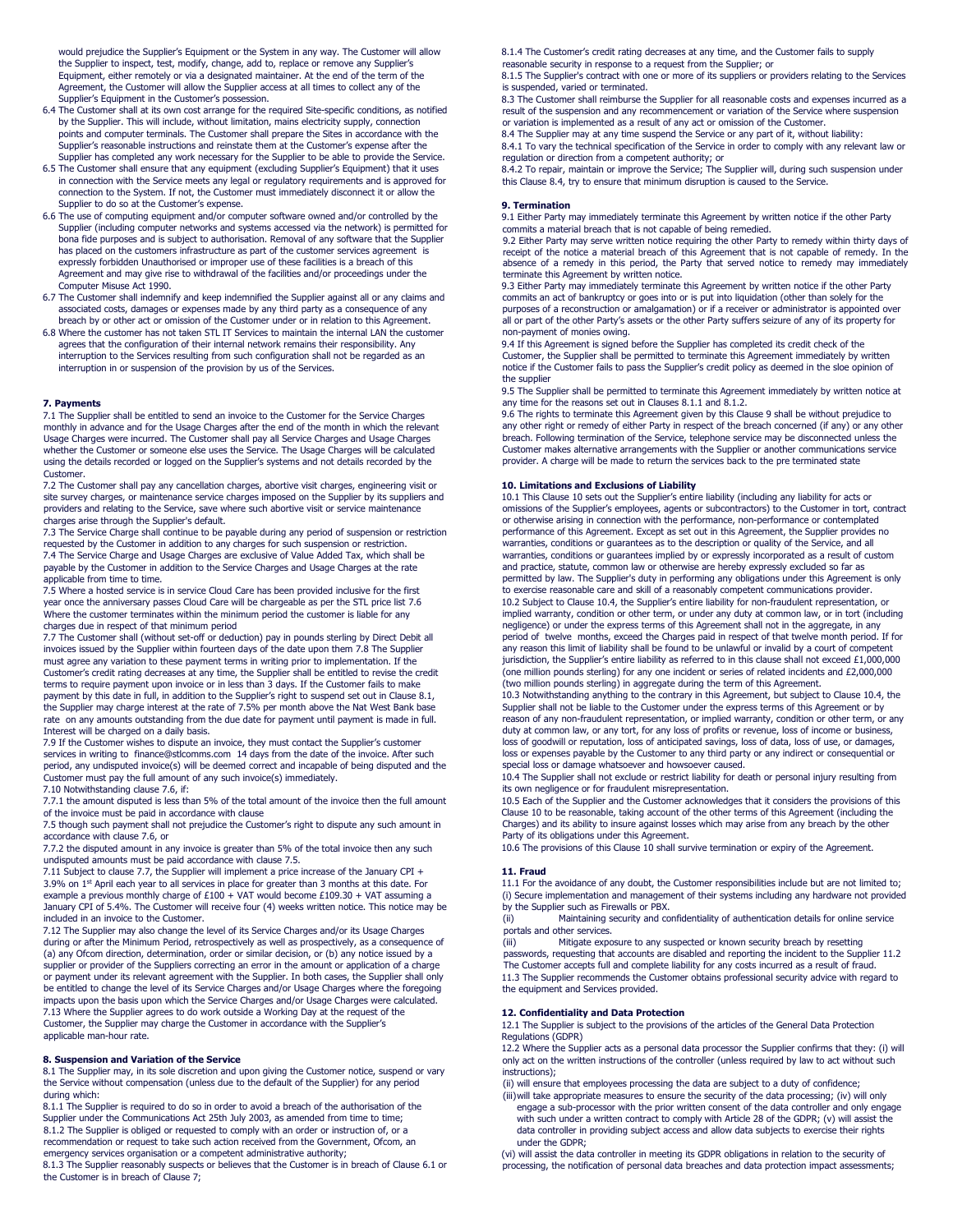would prejudice the Supplier's Equipment or the System in any way. The Customer will allow the Supplier to inspect, test, modify, change, add to, replace or remove any Supplier's Equipment, either remotely or via a designated maintainer. At the end of the term of the Agreement, the Customer will allow the Supplier access at all times to collect any of the Supplier's Equipment in the Customer's possession.

- 6.4 The Customer shall at its own cost arrange for the required Site-specific conditions, as notified by the Supplier. This will include, without limitation, mains electricity supply, connection points and computer terminals. The Customer shall prepare the Sites in accordance with the Supplier's reasonable instructions and reinstate them at the Customer's expense after the Supplier has completed any work necessary for the Supplier to be able to provide the Service.
- 6.5 The Customer shall ensure that any equipment (excluding Supplier's Equipment) that it uses in connection with the Service meets any legal or regulatory requirements and is approved for connection to the System. If not, the Customer must immediately disconnect it or allow the Supplier to do so at the Customer's expense.
- 6.6 The use of computing equipment and/or computer software owned and/or controlled by the Supplier (including computer networks and systems accessed via the network) is permitted for bona fide purposes and is subject to authorisation. Removal of any software that the Supplier has placed on the customers infrastructure as part of the customer services agreement is expressly forbidden Unauthorised or improper use of these facilities is a breach of this Agreement and may give rise to withdrawal of the facilities and/or proceedings under the Computer Misuse Act 1990.
- 6.7 The Customer shall indemnify and keep indemnified the Supplier against all or any claims and associated costs, damages or expenses made by any third party as a consequence of any breach by or other act or omission of the Customer under or in relation to this Agreement.
- 6.8 Where the customer has not taken STL IT Services to maintain the internal LAN the customer agrees that the configuration of their internal network remains their responsibility. Any interruption to the Services resulting from such configuration shall not be regarded as an interruption in or suspension of the provision by us of the Services.

### 7. Payments

7.1 The Supplier shall be entitled to send an invoice to the Customer for the Service Charges monthly in advance and for the Usage Charges after the end of the month in which the relevant Usage Charges were incurred. The Customer shall pay all Service Charges and Usage Charges whether the Customer or someone else uses the Service. The Usage Charges will be calculated using the details recorded or logged on the Supplier's systems and not details recorded by the Customer.

7.2 The Customer shall pay any cancellation charges, abortive visit charges, engineering visit or site survey charges, or maintenance service charges imposed on the Supplier by its suppliers and providers and relating to the Service, save where such abortive visit or service maintenance charges arise through the Supplier's default.

7.3 The Service Charge shall continue to be payable during any period of suspension or restriction requested by the Customer in addition to any charges for such suspension or restriction. 7.4 The Service Charge and Usage Charges are exclusive of Value Added Tax, which shall be payable by the Customer in addition to the Service Charges and Usage Charges at the rate

applicable from time to time. 7.5 Where a hosted service is in service Cloud Care has been provided inclusive for the first year once the anniversary passes Cloud Care will be chargeable as per the STL price list 7.6 Where the customer terminates within the minimum period the customer is liable for any charges due in respect of that minimum period

7.7 The Customer shall (without set-off or deduction) pay in pounds sterling by Direct Debit all invoices issued by the Supplier within fourteen days of the date upon them 7.8 The Supplier must agree any variation to these payment terms in writing prior to implementation. If the Customer's credit rating decreases at any time, the Supplier shall be entitled to revise the credit terms to require payment upon invoice or in less than 3 days. If the Customer fails to make payment by this date in full, in addition to the Supplier's right to suspend set out in Clause 8.1, the Supplier may charge interest at the rate of 7.5% per month above the Nat West Bank base rate on any amounts outstanding from the due date for payment until payment is made in full. Interest will be charged on a daily basis.

7.9 If the Customer wishes to dispute an invoice, they must contact the Supplier's customer services in writing to finance@stlcomms.com 14 days from the date of the invoice. After such period, any undisputed invoice(s) will be deemed correct and incapable of being disputed and the Customer must pay the full amount of any such invoice(s) immediately.

7.10 Notwithstanding clause 7.6, if:

7.7.1 the amount disputed is less than 5% of the total amount of the invoice then the full amount of the invoice must be paid in accordance with clause

7.5 though such payment shall not prejudice the Customer's right to dispute any such amount in accordance with clause 7.6, or

7.7.2 the disputed amount in any invoice is greater than 5% of the total invoice then any such undisputed amounts must be paid accordance with clause 7.5.

7.11 Subject to clause 7.7, the Supplier will implement a price increase of the January CPI + 3.9% on 1<sup>st</sup> April each year to all services in place for greater than 3 months at this date. For example a previous monthly charge of £100 + VAT would become £109.30 + VAT assuming a January CPI of 5.4%. The Customer will receive four (4) weeks written notice. This notice may be included in an invoice to the Customer.

7.12 The Supplier may also change the level of its Service Charges and/or its Usage Charges during or after the Minimum Period, retrospectively as well as prospectively, as a consequence of (a) any Ofcom direction, determination, order or similar decision, or (b) any notice issued by a supplier or provider of the Suppliers correcting an error in the amount or application of a charge or payment under its relevant agreement with the Supplier. In both cases, the Supplier shall only be entitled to change the level of its Service Charges and/or Usage Charges where the foregoing impacts upon the basis upon which the Service Charges and/or Usage Charges were calculated. 7.13 Where the Supplier agrees to do work outside a Working Day at the request of the Customer, the Supplier may charge the Customer in accordance with the Supplier's applicable man-hour rate.

# 8. Suspension and Variation of the Service

8.1 The Supplier may, in its sole discretion and upon giving the Customer notice, suspend or vary the Service without compensation (unless due to the default of the Supplier) for any period during which:

8.1.1 The Supplier is required to do so in order to avoid a breach of the authorisation of the Supplier under the Communications Act 25th July 2003, as amended from time to time; 8.1.2 The Supplier is obliged or requested to comply with an order or instruction of, or a recommendation or request to take such action received from the Government, Ofcom, an emergency services organisation or a competent administrative authority;

8.1.3 The Supplier reasonably suspects or believes that the Customer is in breach of Clause 6.1 or the Customer is in breach of Clause 7;

8.1.4 The Customer's credit rating decreases at any time, and the Customer fails to supply reasonable security in response to a request from the Supplier; or

8.1.5 The Supplier's contract with one or more of its suppliers or providers relating to the Services is suspended, varied or terminated.

8.3 The Customer shall reimburse the Supplier for all reasonable costs and expenses incurred as a result of the suspension and any recommencement or variation of the Service where suspension or variation is implemented as a result of any act or omission of the Customer.

8.4 The Supplier may at any time suspend the Service or any part of it, without liability: 8.4.1 To vary the technical specification of the Service in order to comply with any relevant law or

regulation or direction from a competent authority; or 8.4.2 To repair, maintain or improve the Service; The Supplier will, during such suspension under

this Clause 8.4, try to ensure that minimum disruption is caused to the Service.

# 9. Termination

9.1 Either Party may immediately terminate this Agreement by written notice if the other Party commits a material breach that is not capable of being remedied.

9.2 Either Party may serve written notice requiring the other Party to remedy within thirty days of receipt of the notice a material breach of this Agreement that is not capable of remedy. In the absence of a remedy in this period, the Party that served notice to remedy may immediately terminate this Agreement by written notice.

9.3 Either Party may immediately terminate this Agreement by written notice if the other Party commits an act of bankruptcy or goes into or is put into liquidation (other than solely for the purposes of a reconstruction or amalgamation) or if a receiver or administrator is appointed over all or part of the other Party's assets or the other Party suffers seizure of any of its property for non-payment of monies owing.

9.4 If this Agreement is signed before the Supplier has completed its credit check of the Customer, the Supplier shall be permitted to terminate this Agreement immediately by written notice if the Customer fails to pass the Supplier's credit policy as deemed in the sloe opinion of the supplier

9.5 The Supplier shall be permitted to terminate this Agreement immediately by written notice at any time for the reasons set out in Clauses 8.1.1 and 8.1.2.

9.6 The rights to terminate this Agreement given by this Clause 9 shall be without prejudice to any other right or remedy of either Party in respect of the breach concerned (if any) or any other breach. Following termination of the Service, telephone service may be disconnected unless the Customer makes alternative arrangements with the Supplier or another communications service provider. A charge will be made to return the services back to the pre terminated state

# 10. Limitations and Exclusions of Liability

10.1 This Clause 10 sets out the Supplier's entire liability (including any liability for acts or omissions of the Supplier's employees, agents or subcontractors) to the Customer in tort, contract or otherwise arising in connection with the performance, non-performance or contemplated performance of this Agreement. Except as set out in this Agreement, the Supplier provides no warranties, conditions or guarantees as to the description or quality of the Service, and all warranties, conditions or guarantees implied by or expressly incorporated as a result of custom and practice, statute, common law or otherwise are hereby expressly excluded so far as permitted by law. The Supplier's duty in performing any obligations under this Agreement is only to exercise reasonable care and skill of a reasonably competent communications provider. 10.2 Subject to Clause 10.4, the Supplier's entire liability for non-fraudulent representation, or implied warranty, condition or other term, or under any duty at common law, or in tort (including negligence) or under the express terms of this Agreement shall not in the aggregate, in any period of twelve months, exceed the Charges paid in respect of that twelve month period. If for any reason this limit of liability shall be found to be unlawful or invalid by a court of competent jurisdiction, the Supplier's entire liability as referred to in this clause shall not exceed £1,000,000 (one million pounds sterling) for any one incident or series of related incidents and £2,000,000 (two million pounds sterling) in aggregate during the term of this Agreement.

10.3 Notwithstanding anything to the contrary in this Agreement, but subject to Clause 10.4, the Supplier shall not be liable to the Customer under the express terms of this Agreement or by reason of any non-fraudulent representation, or implied warranty, condition or other term, or any duty at common law, or any tort, for any loss of profits or revenue, loss of income or business, loss of goodwill or reputation, loss of anticipated savings, loss of data, loss of use, or damages, loss or expenses payable by the Customer to any third party or any indirect or consequential or special loss or damage whatsoever and howsoever caused.

10.4 The Supplier shall not exclude or restrict liability for death or personal injury resulting from its own negligence or for fraudulent misrepresentation.

10.5 Each of the Supplier and the Customer acknowledges that it considers the provisions of this Clause 10 to be reasonable, taking account of the other terms of this Agreement (including the Charges) and its ability to insure against losses which may arise from any breach by the other Party of its obligations under this Agreement.

10.6 The provisions of this Clause 10 shall survive termination or expiry of the Agreement.

# 11. Fraud

11.1 For the avoidance of any doubt, the Customer responsibilities include but are not limited to; (i) Secure implementation and management of their systems including any hardware not provided by the Supplier such as Firewalls or PBX.

(ii) Maintaining security and confidentiality of authentication details for online service portals and other services.

(iii) Mitigate exposure to any suspected or known security breach by resetting passwords, requesting that accounts are disabled and reporting the incident to the Supplier 11.2 The Customer accepts full and complete liability for any costs incurred as a result of fraud. 11.3 The Supplier recommends the Customer obtains professional security advice with regard to the equipment and Services provided.

### 12. Confidentiality and Data Protection

12.1 The Supplier is subject to the provisions of the articles of the General Data Protection Regulations (GDPR)

12.2 Where the Supplier acts as a personal data processor the Supplier confirms that they: (i) will only act on the written instructions of the controller (unless required by law to act without such instructions);

(ii) will ensure that employees processing the data are subject to a duty of confidence;

(iii)will take appropriate measures to ensure the security of the data processing; (iv) will only engage a sub-processor with the prior written consent of the data controller and only engage<br>with such under a written contract to comply with Article 28 of the GDPR; (v) will assist the<br>data controller in providing subjec under the GDPR;

(vi) will assist the data controller in meeting its GDPR obligations in relation to the security of processing, the notification of personal data breaches and data protection impact assessments;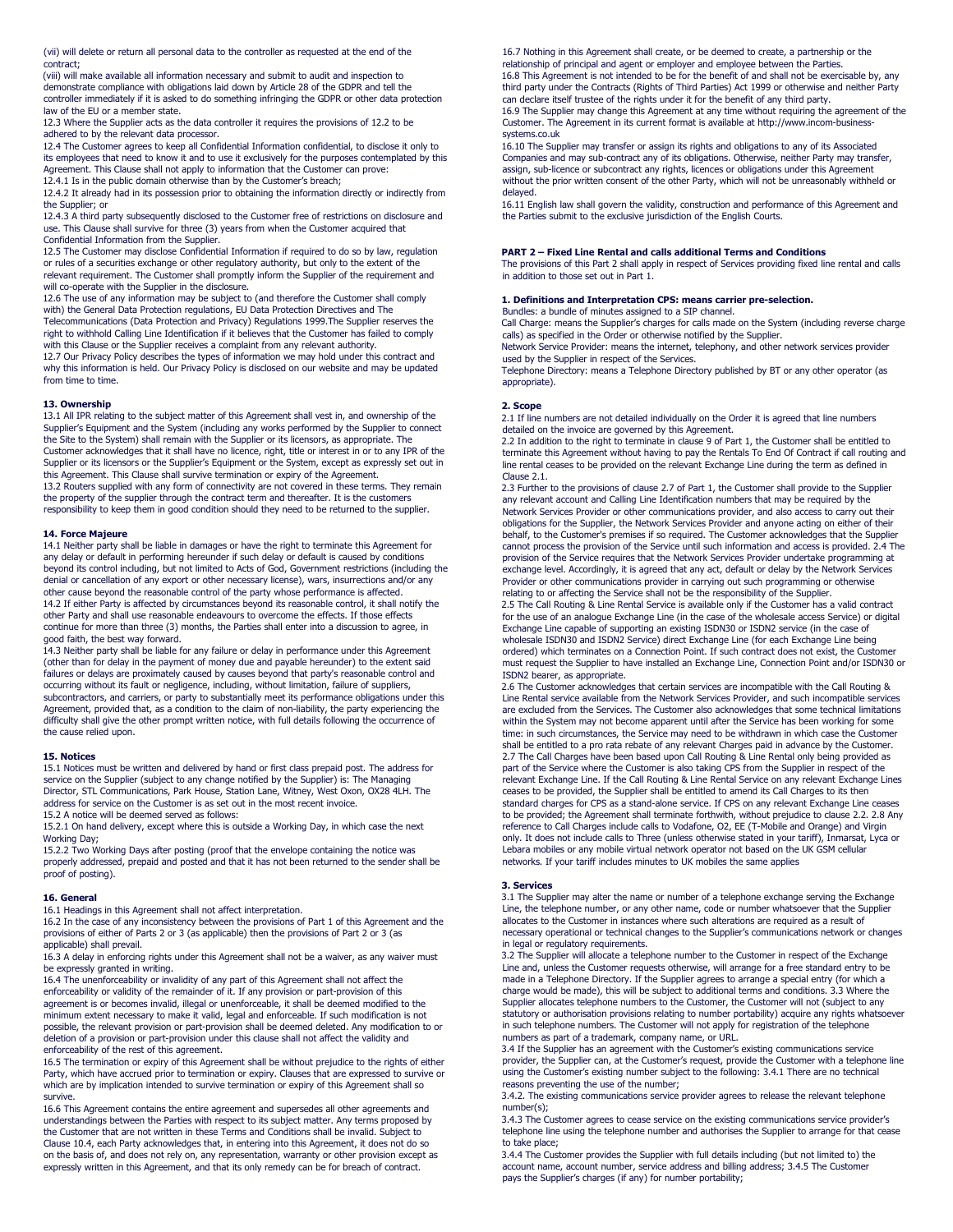(vii) will delete or return all personal data to the controller as requested at the end of the contract;

(viii) will make available all information necessary and submit to audit and inspection to demonstrate compliance with obligations laid down by Article 28 of the GDPR and tell the controller immediately if it is asked to do something infringing the GDPR or other data protection law of the EU or a member state.

12.3 Where the Supplier acts as the data controller it requires the provisions of 12.2 to be adhered to by the relevant data processor.

12.4 The Customer agrees to keep all Confidential Information confidential, to disclose it only to its employees that need to know it and to use it exclusively for the purposes contemplated by this Agreement. This Clause shall not apply to information that the Customer can prove:

12.4.1 Is in the public domain otherwise than by the Customer's breach;

12.4.2 It already had in its possession prior to obtaining the information directly or indirectly from the Supplier; or

12.4.3 A third party subsequently disclosed to the Customer free of restrictions on disclosure and use. This Clause shall survive for three (3) years from when the Customer acquired that Confidential Information from the Supplier.

12.5 The Customer may disclose Confidential Information if required to do so by law, regulation or rules of a securities exchange or other regulatory authority, but only to the extent of the relevant requirement. The Customer shall promptly inform the Supplier of the requirement and will co-operate with the Supplier in the disclosure.

12.6 The use of any information may be subject to (and therefore the Customer shall comply with) the General Data Protection regulations, EU Data Protection Directives and The Telecommunications (Data Protection and Privacy) Regulations 1999.The Supplier reserves the right to withhold Calling Line Identification if it believes that the Customer has failed to comply with this Clause or the Supplier receives a complaint from any relevant authority.

12.7 Our Privacy Policy describes the types of information we may hold under this contract and why this information is held. Our Privacy Policy is disclosed on our website and may be updated from time to time.

# 13. Ownership

13.1 All IPR relating to the subject matter of this Agreement shall vest in, and ownership of the Supplier's Equipment and the System (including any works performed by the Supplier to connect the Site to the System) shall remain with the Supplier or its licensors, as appropriate. The Customer acknowledges that it shall have no licence, right, title or interest in or to any IPR of the Supplier or its licensors or the Supplier's Equipment or the System, except as expressly set out in this Agreement. This Clause shall survive termination or expiry of the Agreement. 13.2 Routers supplied with any form of connectivity are not covered in these terms. They remain the property of the supplier through the contract term and thereafter. It is the customers responsibility to keep them in good condition should they need to be returned to the supplier.

#### 14. Force Majeure

14.1 Neither party shall be liable in damages or have the right to terminate this Agreement for any delay or default in performing hereunder if such delay or default is caused by conditions beyond its control including, but not limited to Acts of God, Government restrictions (including the denial or cancellation of any export or other necessary license), wars, insurrections and/or any other cause beyond the reasonable control of the party whose performance is affected. 14.2 If either Party is affected by circumstances beyond its reasonable control, it shall notify the other Party and shall use reasonable endeavours to overcome the effects. If those effects continue for more than three (3) months, the Parties shall enter into a discussion to agree, in good faith, the best way forward.

14.3 Neither party shall be liable for any failure or delay in performance under this Agreement (other than for delay in the payment of money due and payable hereunder) to the extent said failures or delays are proximately caused by causes beyond that party's reasonable control and occurring without its fault or negligence, including, without limitation, failure of suppliers, subcontractors, and carriers, or party to substantially meet its performance obligations under this Agreement, provided that, as a condition to the claim of non-liability, the party experiencing the difficulty shall give the other prompt written notice, with full details following the occurrence of the cause relied upon.

#### 15. Notices

15.1 Notices must be written and delivered by hand or first class prepaid post. The address for service on the Supplier (subject to any change notified by the Supplier) is: The Managing Director, STL Communications, Park House, Station Lane, Witney, West Oxon, OX28 4LH. The address for service on the Customer is as set out in the most recent invoice.

15.2 A notice will be deemed served as follows:

15.2.1 On hand delivery, except where this is outside a Working Day, in which case the next Working Day;

15.2.2 Two Working Days after posting (proof that the envelope containing the notice was properly addressed, prepaid and posted and that it has not been returned to the sender shall be proof of posting).

# 16. General

16.1 Headings in this Agreement shall not affect interpretation.

16.2 In the case of any inconsistency between the provisions of Part 1 of this Agreement and the provisions of either of Parts 2 or 3 (as applicable) then the provisions of Part 2 or 3 (as applicable) shall prevail.

16.3 A delay in enforcing rights under this Agreement shall not be a waiver, as any waiver must be expressly granted in writing.

16.4 The unenforceability or invalidity of any part of this Agreement shall not affect the enforceability or validity of the remainder of it. If any provision or part-provision of this agreement is or becomes invalid, illegal or unenforceable, it shall be deemed modified to the minimum extent necessary to make it valid, legal and enforceable. If such modification is not possible, the relevant provision or part-provision shall be deemed deleted. Any modification to or deletion of a provision or part-provision under this clause shall not affect the validity and enforceability of the rest of this agreement.

16.5 The termination or expiry of this Agreement shall be without prejudice to the rights of either Party, which have accrued prior to termination or expiry. Clauses that are expressed to survive or which are by implication intended to survive termination or expiry of this Agreement shall so survive.

16.6 This Agreement contains the entire agreement and supersedes all other agreements and understandings between the Parties with respect to its subject matter. Any terms proposed by the Customer that are not written in these Terms and Conditions shall be invalid. Subject to Clause 10.4, each Party acknowledges that, in entering into this Agreement, it does not do so on the basis of, and does not rely on, any representation, warranty or other provision except as expressly written in this Agreement, and that its only remedy can be for breach of contract.

16.7 Nothing in this Agreement shall create, or be deemed to create, a partnership or the relationship of principal and agent or employer and employee between the Parties. 16.8 This Agreement is not intended to be for the benefit of and shall not be exercisable by, any third party under the Contracts (Rights of Third Parties) Act 1999 or otherwise and neither Party can declare itself trustee of the rights under it for the benefit of any third party. 16.9 The Supplier may change this Agreement at any time without requiring the agreement of the Customer. The Agreement in its current format is available at http://www.incom-businesssystems.co.uk

16.10 The Supplier may transfer or assign its rights and obligations to any of its Associated Companies and may sub-contract any of its obligations. Otherwise, neither Party may transfer, assign, sub-licence or subcontract any rights, licences or obligations under this Agreement without the prior written consent of the other Party, which will not be unreasonably withheld or delayed.

16.11 English law shall govern the validity, construction and performance of this Agreement and the Parties submit to the exclusive jurisdiction of the English Courts.

# PART 2 – Fixed Line Rental and calls additional Terms and Conditions

The provisions of this Part 2 shall apply in respect of Services providing fixed line rental and calls in addition to those set out in Part 1.

# 1. Definitions and Interpretation CPS: means carrier pre-selection.

Bundles: a bundle of minutes assigned to a SIP channel.

Call Charge: means the Supplier's charges for calls made on the System (including reverse charge calls) as specified in the Order or otherwise notified by the Supplier. Network Service Provider: means the internet, telephony, and other network services provider

used by the Supplier in respect of the Services. Telephone Directory: means a Telephone Directory published by BT or any other operator (as appropriate).

# 2. Scope

2.1 If line numbers are not detailed individually on the Order it is agreed that line numbers detailed on the invoice are governed by this Agreement.

2.2 In addition to the right to terminate in clause 9 of Part 1, the Customer shall be entitled to terminate this Agreement without having to pay the Rentals To End Of Contract if call routing and line rental ceases to be provided on the relevant Exchange Line during the term as defined in Clause 2.1.

2.3 Further to the provisions of clause 2.7 of Part 1, the Customer shall provide to the Supplier any relevant account and Calling Line Identification numbers that may be required by the Network Services Provider or other communications provider, and also access to carry out their obligations for the Supplier, the Network Services Provider and anyone acting on either of their behalf, to the Customer's premises if so required. The Customer acknowledges that the Supplier cannot process the provision of the Service until such information and access is provided. 2.4 The provision of the Service requires that the Network Services Provider undertake programming at exchange level. Accordingly, it is agreed that any act, default or delay by the Network Services Provider or other communications provider in carrying out such programming or otherwise relating to or affecting the Service shall not be the responsibility of the Supplier.

2.5 The Call Routing & Line Rental Service is available only if the Customer has a valid contract for the use of an analogue Exchange Line (in the case of the wholesale access Service) or digital Exchange Line capable of supporting an existing ISDN30 or ISDN2 service (in the case of wholesale ISDN30 and ISDN2 Service) direct Exchange Line (for each Exchange Line being ordered) which terminates on a Connection Point. If such contract does not exist, the Customer must request the Supplier to have installed an Exchange Line, Connection Point and/or ISDN30 or ISDN2 bearer, as appropriate.

2.6 The Customer acknowledges that certain services are incompatible with the Call Routing & Line Rental service available from the Network Services Provider, and such incompatible services are excluded from the Services. The Customer also acknowledges that some technical limitations within the System may not become apparent until after the Service has been working for some time: in such circumstances, the Service may need to be withdrawn in which case the Customer<br>shall be entitled to a pro rata rebate of any relevant Charges paid in advance by the Customer. 2.7 The Call Charges have been based upon Call Routing & Line Rental only being provided as part of the Service where the Customer is also taking CPS from the Supplier in respect of the relevant Exchange Line. If the Call Routing & Line Rental Service on any relevant Exchange Lines ceases to be provided, the Supplier shall be entitled to amend its Call Charges to its then standard charges for CPS as a stand-alone service. If CPS on any relevant Exchange Line ceases to be provided; the Agreement shall terminate forthwith, without prejudice to clause 2.2. 2.8 Any reference to Call Charges include calls to Vodafone, O2, EE (T-Mobile and Orange) and Virgin only. It does not include calls to Three (unless otherwise stated in your tariff), Inmarsat, Lyca or Lebara mobiles or any mobile virtual network operator not based on the UK GSM cellular networks. If your tariff includes minutes to UK mobiles the same applies

#### 3. Services

3.1 The Supplier may alter the name or number of a telephone exchange serving the Exchange Line, the telephone number, or any other name, code or number whatsoever that the Supplier allocates to the Customer in instances where such alterations are required as a result of necessary operational or technical changes to the Supplier's communications network or changes in legal or regulatory requirements.

3.2 The Supplier will allocate a telephone number to the Customer in respect of the Exchange Line and, unless the Customer requests otherwise, will arrange for a free standard entry to be made in a Telephone Directory. If the Supplier agrees to arrange a special entry (for which a charge would be made), this will be subject to additional terms and conditions. 3.3 Where the Supplier allocates telephone numbers to the Customer, the Customer will not (subject to any statutory or authorisation provisions relating to number portability) acquire any rights whatsoever in such telephone numbers. The Customer will not apply for registration of the telephone numbers as part of a trademark, company name, or URL.

3.4 If the Supplier has an agreement with the Customer's existing communications service provider, the Supplier can, at the Customer's request, provide the Customer with a telephone line using the Customer's existing number subject to the following: 3.4.1 There are no technical reasons preventing the use of the number;

3.4.2. The existing communications service provider agrees to release the relevant telephone number(s);

3.4.3 The Customer agrees to cease service on the existing communications service provider's telephone line using the telephone number and authorises the Supplier to arrange for that cease to take place;

3.4.4 The Customer provides the Supplier with full details including (but not limited to) the account name, account number, service address and billing address; 3.4.5 The Customer pays the Supplier's charges (if any) for number portability;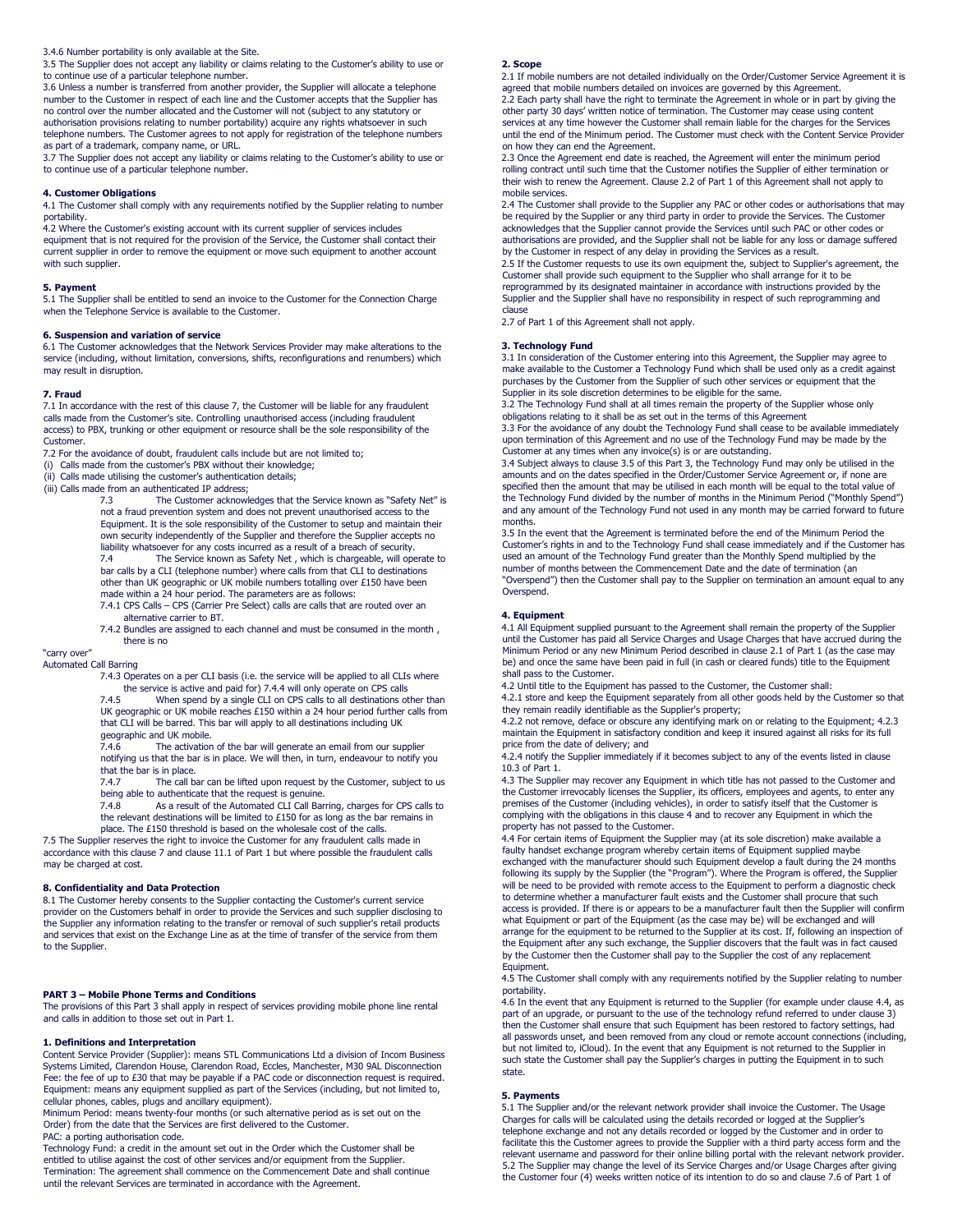# 3.4.6 Number portability is only available at the Site.

3.5 The Supplier does not accept any liability or claims relating to the Customer's ability to use or to continue use of a particular telephone number.

3.6 Unless a number is transferred from another provider, the Supplier will allocate a telephone number to the Customer in respect of each line and the Customer accepts that the Supplier has no control over the number allocated and the Customer will not (subject to any statutory or authorisation provisions relating to number portability) acquire any rights whatsoever in such telephone numbers. The Customer agrees to not apply for registration of the telephone numbers as part of a trademark, company name, or URL.

3.7 The Supplier does not accept any liability or claims relating to the Customer's ability to use or to continue use of a particular telephone number.

# 4. Customer Obligations

4.1 The Customer shall comply with any requirements notified by the Supplier relating to number portability.

4.2 Where the Customer's existing account with its current supplier of services includes equipment that is not required for the provision of the Service, the Customer shall contact their current supplier in order to remove the equipment or move such equipment to another account with such supplier.

# 5. Payment

5.1 The Supplier shall be entitled to send an invoice to the Customer for the Connection Charge when the Telephone Service is available to the Customer.

**6. Suspension and variation of service**<br>6.1 The Customer acknowledges that the Network Services Provider may make alterations to the service (including, without limitation, conversions, shifts, reconfigurations and renumbers) which may result in disruption.

### 7. Fraud

7.1 In accordance with the rest of this clause 7, the Customer will be liable for any fraudulent calls made from the Customer's site. Controlling unauthorised access (including fraudulent access) to PBX, trunking or other equipment or resource shall be the sole responsibility of the Customer.

7.2 For the avoidance of doubt, fraudulent calls include but are not limited to;

- (i) Calls made from the customer's PBX without their knowledge;
- (ii) Calls made utilising the customer's authentication details;

(iii) Calls made from an authenticated IP address;

7.3 The Customer acknowledges that the Service known as "Safety Net" is not a fraud prevention system and does not prevent unauthorised access to the Equipment. It is the sole responsibility of the Customer to setup and maintain their own security independently of the Supplier and therefore the Supplier accepts no liability whatsoever for any costs incurred as a result of a breach of security. 7.4 The Service known as Safety Net , which is chargeable, will operate to bar calls by a CLI (telephone number) where calls from that CLI to destinations other than UK geographic or UK mobile numbers totalling over £150 have been

made within a 24 hour period. The parameters are as follows: 7.4.1 CPS Calls – CPS (Carrier Pre Select) calls are calls that are routed over an

alternative carrier to BT.

7.4.2 Bundles are assigned to each channel and must be consumed in the month , there is no

# "carry over"

Automated Call Barring

7.4.3 Operates on a per CLI basis (i.e. the service will be applied to all CLIs where the service is active and paid for) 7.4.4 will only operate on CPS calls

7.4.5 When spend by a single CLI on CPS calls to all destinations other than UK geographic or UK mobile reaches £150 within a 24 hour period further calls from that CLI will be barred. This bar will apply to all destinations including UK geographic and UK mobile.<br>7.4.6 The activation

The activation of the bar will generate an email from our supplier notifying us that the bar is in place. We will then, in turn, endeavour to notify you that the bar is in place.

7.4.7 The call bar can be lifted upon request by the Customer, subject to us

being able to authenticate that the request is genuine.<br>7.4.8 As a result of the Automated CLI Call Barring, charges for CPS calls to the relevant destinations will be limited to £150 for as long as the bar remains in

place. The £150 threshold is based on the wholesale cost of the calls.

7.5 The Supplier reserves the right to invoice the Customer for any fraudulent calls made in accordance with this clause 7 and clause 11.1 of Part 1 but where possible the fraudulent calls may be charged at cost.

# 8. Confidentiality and Data Protection

8.1 The Customer hereby consents to the Supplier contacting the Customer's current service provider on the Customers behalf in order to provide the Services and such supplier disclosing to the Supplier any information relating to the transfer or removal of such supplier's retail products and services that exist on the Exchange Line as at the time of transfer of the service from them to the Supplier.

# PART 3 – Mobile Phone Terms and Conditions

The provisions of this Part 3 shall apply in respect of services providing mobile phone line rental and calls in addition to those set out in Part 1.

# 1. Definitions and Interpretation

Content Service Provider (Supplier): means STL Communications Ltd a division of Incom Business Systems Limited, Clarendon House, Clarendon Road, Eccles, Manchester, M30 9AL Disconnection Fee: the fee of up to £30 that may be payable if a PAC code or disconnection request is required. Equipment: means any equipment supplied as part of the Services (including, but not limited to, cellular phones, cables, plugs and ancillary equipment).

Minimum Period: means twenty-four months (or such alternative period as is set out on the Order) from the date that the Services are first delivered to the Customer. PAC: a porting authorisation code.

Technology Fund: a credit in the amount set out in the Order which the Customer shall be entitled to utilise against the cost of other services and/or equipment from the Supplier. Termination: The agreement shall commence on the Commencement Date and shall continue until the relevant Services are terminated in accordance with the Agreement.

#### 2. Scope

2.1 If mobile numbers are not detailed individually on the Order/Customer Service Agreement it is agreed that mobile numbers detailed on invoices are governed by this Agreement. 2.2 Each party shall have the right to terminate the Agreement in whole or in part by giving the other party 30 days' written notice of termination. The Customer may cease using content services at any time however the Customer shall remain liable for the charges for the Services until the end of the Minimum period. The Customer must check with the Content Service Provider on how they can end the Agreement.

2.3 Once the Agreement end date is reached, the Agreement will enter the minimum period rolling contract until such time that the Customer notifies the Supplier of either termination or their wish to renew the Agreement. Clause 2.2 of Part 1 of this Agreement shall not apply to mobile services.

2.4 The Customer shall provide to the Supplier any PAC or other codes or authorisations that may be required by the Supplier or any third party in order to provide the Services. The Customer acknowledges that the Supplier cannot provide the Services until such PAC or other codes or authorisations are provided, and the Supplier shall not be liable for any loss or damage suffered by the Customer in respect of any delay in providing the Services as a result. 2.5 If the Customer requests to use its own equipment the, subject to Supplier's agreement, the Customer shall provide such equipment to the Supplier who shall arrange for it to be reprogrammed by its designated maintainer in accordance with instructions provided by the Supplier and the Supplier shall have no responsibility in respect of such reprogramming and clause

2.7 of Part 1 of this Agreement shall not apply.

#### 3. Technology Fund

3.1 In consideration of the Customer entering into this Agreement, the Supplier may agree to make available to the Customer a Technology Fund which shall be used only as a credit against purchases by the Customer from the Supplier of such other services or equipment that the Supplier in its sole discretion determines to be eligible for the same.

3.2 The Technology Fund shall at all times remain the property of the Supplier whose only obligations relating to it shall be as set out in the terms of this Agreement

3.3 For the avoidance of any doubt the Technology Fund shall cease to be available immediately upon termination of this Agreement and no use of the Technology Fund may be made by the Customer at any times when any invoice(s) is or are outstanding.

3.4 Subject always to clause 3.5 of this Part 3, the Technology Fund may only be utilised in the amounts and on the dates specified in the Order/Customer Service Agreement or, if none are specified then the amount that may be utilised in each month will be equal to the total value of the Technology Fund divided by the number of months in the Minimum Period ("Monthly Spend") and any amount of the Technology Fund not used in any month may be carried forward to future months.

3.5 In the event that the Agreement is terminated before the end of the Minimum Period the Customer's rights in and to the Technology Fund shall cease immediately and if the Customer has used an amount of the Technology Fund greater than the Monthly Spend multiplied by the number of months between the Commencement Date and the date of termination (an "Overspend") then the Customer shall pay to the Supplier on termination an amount equal to any Overspend.

# 4. Equipment

4.1 All Equipment supplied pursuant to the Agreement shall remain the property of the Supplier until the Customer has paid all Service Charges and Usage Charges that have accrued during the Minimum Period or any new Minimum Period described in clause 2.1 of Part 1 (as the case may be) and once the same have been paid in full (in cash or cleared funds) title to the Equipment shall pass to the Customer.

4.2 Until title to the Equipment has passed to the Customer, the Customer shall:

4.2.1 store and keep the Equipment separately from all other goods held by the Customer so that they remain readily identifiable as the Supplier's property;

4.2.2 not remove, deface or obscure any identifying mark on or relating to the Equipment; 4.2.3 maintain the Equipment in satisfactory condition and keep it insured against all risks for its full price from the date of delivery; and

4.2.4 notify the Supplier immediately if it becomes subject to any of the events listed in clause 10.3 of Part 1.

4.3 The Supplier may recover any Equipment in which title has not passed to the Customer and the Customer irrevocably licenses the Supplier, its officers, employees and agents, to enter any premises of the Customer (including vehicles), in order to satisfy itself that the Customer is complying with the obligations in this clause 4 and to recover any Equipment in which the property has not passed to the Customer.

4.4 For certain items of Equipment the Supplier may (at its sole discretion) make available a faulty handset exchange program whereby certain items of Equipment supplied maybe exchanged with the manufacturer should such Equipment develop a fault during the 24 months following its supply by the Supplier (the "Program"). Where the Program is offered, the Supplier will be need to be provided with remote access to the Equipment to perform a diagnostic check to determine whether a manufacturer fault exists and the Customer shall procure that such access is provided. If there is or appears to be a manufacturer fault then the Supplier will confirm what Equipment or part of the Equipment (as the case may be) will be exchanged and will arrange for the equipment to be returned to the Supplier at its cost. If, following an inspection of the Equipment after any such exchange, the Supplier discovers that the fault was in fact caused by the Customer then the Customer shall pay to the Supplier the cost of any replacement Equipment.

4.5 The Customer shall comply with any requirements notified by the Supplier relating to number portability.

4.6 In the event that any Equipment is returned to the Supplier (for example under clause 4.4, as part of an upgrade, or pursuant to the use of the technology refund referred to under clause 3) then the Customer shall ensure that such Equipment has been restored to factory settings, had all passwords unset, and been removed from any cloud or remote account connections (including, but not limited to, iCloud). In the event that any Equipment is not returned to the Supplier in such state the Customer shall pay the Supplier's charges in putting the Equipment in to such state.

#### 5. Payments

5.1 The Supplier and/or the relevant network provider shall invoice the Customer. The Usage Charges for calls will be calculated using the details recorded or logged at the Supplier's<br>telephone exchange and not any details recorded or logged by the Customer and in order to<br>facilitate this the Customer agrees to p relevant username and password for their online billing portal with the relevant network provider. 5.2 The Supplier may change the level of its Service Charges and/or Usage Charges after giving the Customer four (4) weeks written notice of its intention to do so and clause 7.6 of Part 1 of